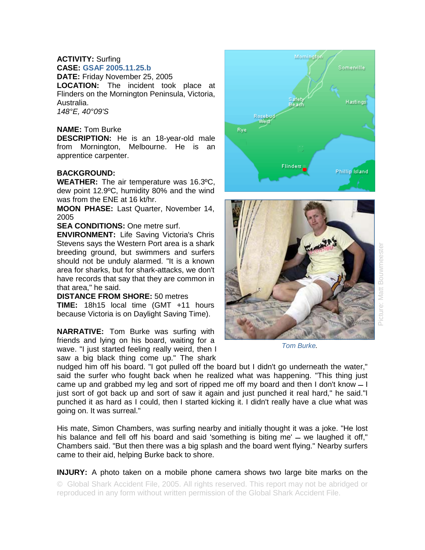## **ACTIVITY:** Surfing **CASE: GSAF 2005.11.25.b**

**DATE:** Friday November 25, 2005 **LOCATION:** The incident took place at Flinders on the Mornington Peninsula, Victoria, Australia. *148°E, 40°09'S* 

## **NAME:** Tom Burke

**DESCRIPTION:** He is an 18-year-old male from Mornington, Melbourne. He is an apprentice carpenter.

## **BACKGROUND:**

**WEATHER:** The air temperature was 16.3ºC, dew point 12.9ºC, humidity 80% and the wind was from the ENE at 16 kt/hr.

**MOON PHASE:** Last Quarter, November 14, 2005

**SEA CONDITIONS: One metre surf.** 

**ENVIRONMENT:** Life Saving Victoria's Chris Stevens says the Western Port area is a shark breeding ground, but swimmers and surfers should not be unduly alarmed. "It is a known area for sharks, but for shark-attacks, we don't have records that say that they are common in that area," he said.

## **DISTANCE FROM SHORE:** 50 metres

**TIME:** 18h15 local time (GMT +11 hours because Victoria is on Daylight Saving Time).

**NARRATIVE:** Tom Burke was surfing with friends and lying on his board, waiting for a wave. "I just started feeling really weird, then I saw a big black thing come up." The shark





*Tom Burke.* 

nudged him off his board. "I got pulled off the board but I didn't go underneath the water," said the surfer who fought back when he realized what was happening. "This thing just came up and grabbed my leg and sort of ripped me off my board and then I don't know  $-1$ just sort of got back up and sort of saw it again and just punched it real hard," he said."I punched it as hard as I could, then I started kicking it. I didn't really have a clue what was going on. It was surreal."

His mate, Simon Chambers, was surfing nearby and initially thought it was a joke. "He lost his balance and fell off his board and said 'something is biting me'  $-$  we laughed it off," Chambers said. "But then there was a big splash and the board went flying." Nearby surfers came to their aid, helping Burke back to shore.

**INJURY:** A photo taken on a mobile phone camera shows two large bite marks on the © Global Shark Accident File, 2005. All rights reserved. This report may not be abridged or

reproduced in any form without written permission of the Global Shark Accident File.